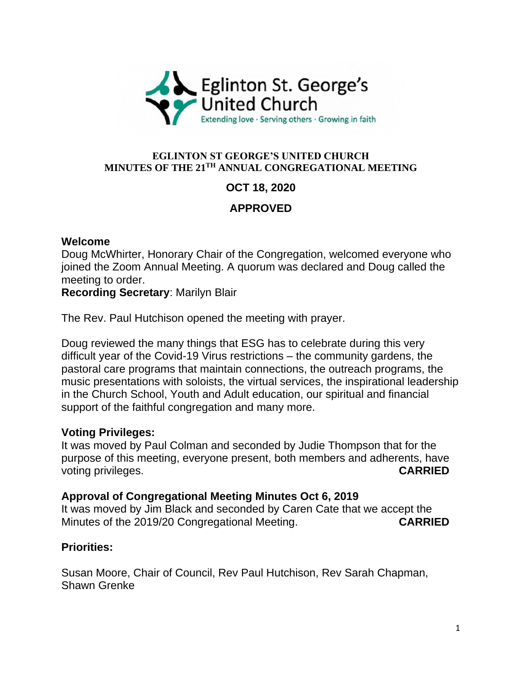

#### **EGLINTON ST GEORGE'S UNITED CHURCH MINUTES OF THE 21 TH ANNUAL CONGREGATIONAL MEETING**

# **OCT 18, 2020**

# **APPROVED**

### **Welcome**

Doug McWhirter, Honorary Chair of the Congregation, welcomed everyone who joined the Zoom Annual Meeting. A quorum was declared and Doug called the meeting to order.

**Recording Secretary**: Marilyn Blair

The Rev. Paul Hutchison opened the meeting with prayer.

Doug reviewed the many things that ESG has to celebrate during this very difficult year of the Covid-19 Virus restrictions – the community gardens, the pastoral care programs that maintain connections, the outreach programs, the music presentations with soloists, the virtual services, the inspirational leadership in the Church School, Youth and Adult education, our spiritual and financial support of the faithful congregation and many more.

### **Voting Privileges:**

It was moved by Paul Colman and seconded by Judie Thompson that for the purpose of this meeting, everyone present, both members and adherents, have voting privileges. **CARRIED**

### **Approval of Congregational Meeting Minutes Oct 6, 2019**

It was moved by Jim Black and seconded by Caren Cate that we accept the Minutes of the 2019/20 Congregational Meeting. **CARRIED**

### **Priorities:**

Susan Moore, Chair of Council, Rev Paul Hutchison, Rev Sarah Chapman, Shawn Grenke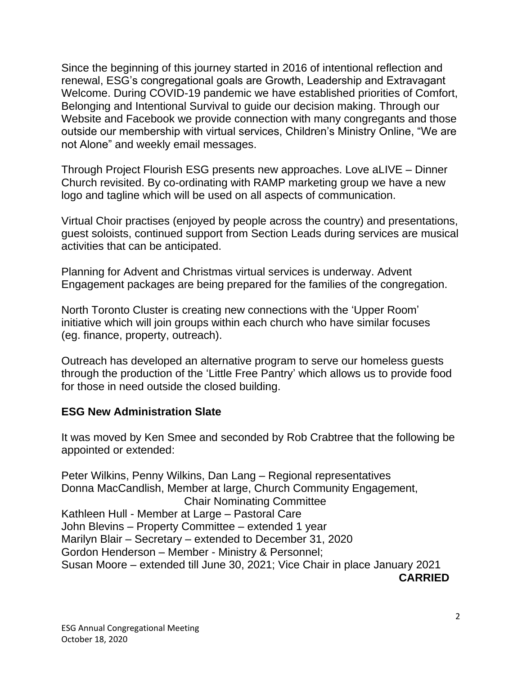Since the beginning of this journey started in 2016 of intentional reflection and renewal, ESG's congregational goals are Growth, Leadership and Extravagant Welcome. During COVID-19 pandemic we have established priorities of Comfort, Belonging and Intentional Survival to guide our decision making. Through our Website and Facebook we provide connection with many congregants and those outside our membership with virtual services, Children's Ministry Online, "We are not Alone" and weekly email messages.

Through Project Flourish ESG presents new approaches. Love aLIVE – Dinner Church revisited. By co-ordinating with RAMP marketing group we have a new logo and tagline which will be used on all aspects of communication.

Virtual Choir practises (enjoyed by people across the country) and presentations, guest soloists, continued support from Section Leads during services are musical activities that can be anticipated.

Planning for Advent and Christmas virtual services is underway. Advent Engagement packages are being prepared for the families of the congregation.

North Toronto Cluster is creating new connections with the 'Upper Room' initiative which will join groups within each church who have similar focuses (eg. finance, property, outreach).

Outreach has developed an alternative program to serve our homeless guests through the production of the 'Little Free Pantry' which allows us to provide food for those in need outside the closed building.

### **ESG New Administration Slate**

It was moved by Ken Smee and seconded by Rob Crabtree that the following be appointed or extended:

Peter Wilkins, Penny Wilkins, Dan Lang – Regional representatives Donna MacCandlish, Member at large, Church Community Engagement, Chair Nominating Committee Kathleen Hull - Member at Large – Pastoral Care John Blevins – Property Committee – extended 1 year Marilyn Blair – Secretary – extended to December 31, 2020 Gordon Henderson – Member - Ministry & Personnel; Susan Moore – extended till June 30, 2021; Vice Chair in place January 2021 **CARRIED**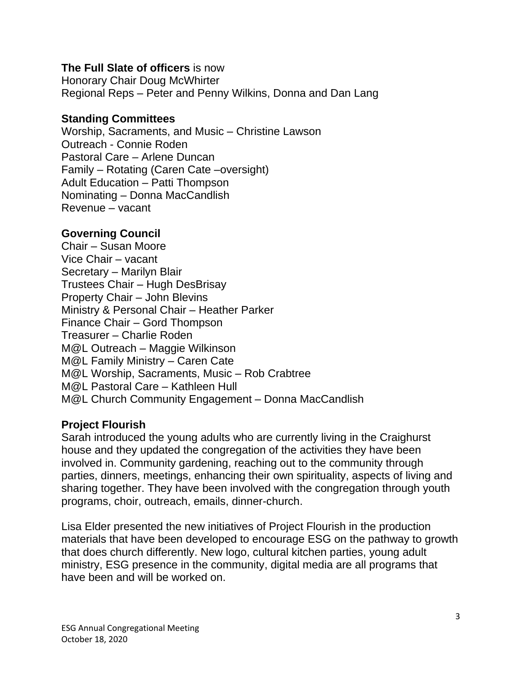### **The Full Slate of officers** is now

Honorary Chair Doug McWhirter Regional Reps – Peter and Penny Wilkins, Donna and Dan Lang

### **Standing Committees**

Worship, Sacraments, and Music – Christine Lawson Outreach - Connie Roden Pastoral Care – Arlene Duncan Family – Rotating (Caren Cate –oversight) Adult Education – Patti Thompson Nominating – Donna MacCandlish Revenue – vacant

## **Governing Council**

Chair – Susan Moore Vice Chair – vacant Secretary – Marilyn Blair Trustees Chair – Hugh DesBrisay Property Chair – John Blevins Ministry & Personal Chair – Heather Parker Finance Chair – Gord Thompson Treasurer – Charlie Roden M@L Outreach – Maggie Wilkinson M@L Family Ministry – Caren Cate M@L Worship, Sacraments, Music – Rob Crabtree M@L Pastoral Care – Kathleen Hull M@L Church Community Engagement – Donna MacCandlish

### **Project Flourish**

Sarah introduced the young adults who are currently living in the Craighurst house and they updated the congregation of the activities they have been involved in. Community gardening, reaching out to the community through parties, dinners, meetings, enhancing their own spirituality, aspects of living and sharing together. They have been involved with the congregation through youth programs, choir, outreach, emails, dinner-church.

Lisa Elder presented the new initiatives of Project Flourish in the production materials that have been developed to encourage ESG on the pathway to growth that does church differently. New logo, cultural kitchen parties, young adult ministry, ESG presence in the community, digital media are all programs that have been and will be worked on.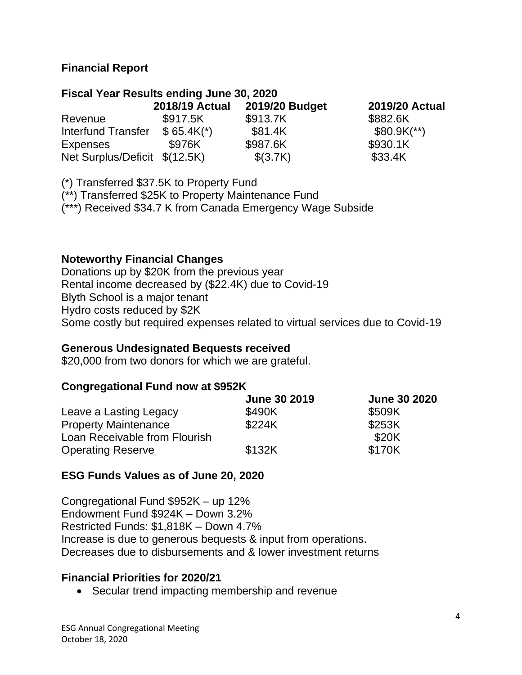### **Financial Report**

### **Fiscal Year Results ending June 30, 2020**

|                               | <b>2018/19 Actual</b> | 2019/20 Budget | <b>2019/20 Actual</b>    |
|-------------------------------|-----------------------|----------------|--------------------------|
| Revenue                       | \$917.5K              | \$913.7K       | \$882.6K                 |
| Interfund Transfer            | $$65.4K*$             | \$81.4K        | $$80.9K$ <sup>**</sup> ) |
| <b>Expenses</b>               | \$976K                | \$987.6K       | \$930.1K                 |
| Net Surplus/Deficit \$(12.5K) |                       | \$(3.7K)       | \$33.4K                  |

(\*) Transferred \$37.5K to Property Fund

(\*\*) Transferred \$25K to Property Maintenance Fund

(\*\*\*) Received \$34.7 K from Canada Emergency Wage Subside

### **Noteworthy Financial Changes**

Donations up by \$20K from the previous year Rental income decreased by (\$22.4K) due to Covid-19 Blyth School is a major tenant Hydro costs reduced by \$2K Some costly but required expenses related to virtual services due to Covid-19

#### **Generous Undesignated Bequests received**

\$20,000 from two donors for which we are grateful.

### **Congregational Fund now at \$952K**

|                               | <b>June 30 2019</b> | <b>June 30 2020</b> |
|-------------------------------|---------------------|---------------------|
| Leave a Lasting Legacy        | \$490K              | \$509K              |
| <b>Property Maintenance</b>   | \$224K              | \$253K              |
| Loan Receivable from Flourish |                     | \$20K               |
| <b>Operating Reserve</b>      | \$132K              | \$170K              |

### **ESG Funds Values as of June 20, 2020**

Congregational Fund \$952K – up 12% Endowment Fund \$924K – Down 3.2% Restricted Funds: \$1,818K – Down 4.7% Increase is due to generous bequests & input from operations. Decreases due to disbursements and & lower investment returns

### **Financial Priorities for 2020/21**

• Secular trend impacting membership and revenue